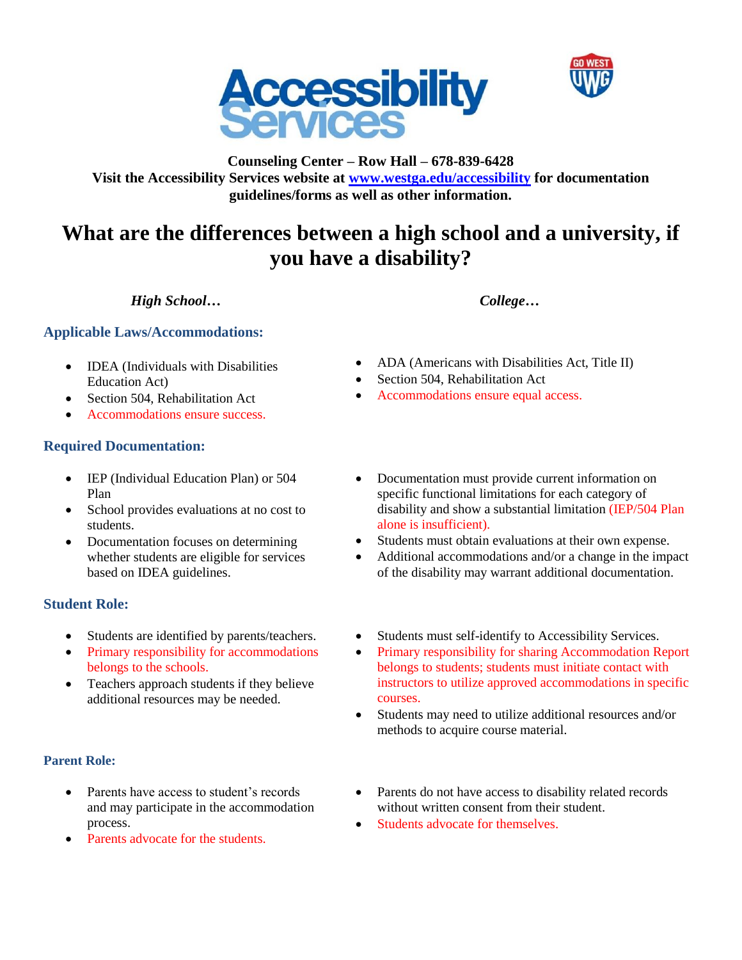



**Counseling Center – Row Hall – 678-839-6428 Visit the Accessibility Services website at [www.westga.edu/accessibility](http://www.westga.edu/accessibility) for documentation guidelines/forms as well as other information.**

# **What are the differences between a high school and a university, if you have a disability?**

# *High School… College…*

## **Applicable Laws/Accommodations:**

- IDEA (Individuals with Disabilities Education Act)
- Section 504, Rehabilitation Act
- Accommodations ensure success.

## **Required Documentation:**

- IEP (Individual Education Plan) or 504 Plan
- School provides evaluations at no cost to students.
- Documentation focuses on determining whether students are eligible for services based on IDEA guidelines.

# **Student Role:**

- Students are identified by parents/teachers.
- Primary responsibility for accommodations belongs to the schools.
- Teachers approach students if they believe additional resources may be needed.

## **Parent Role:**

- Parents have access to student's records and may participate in the accommodation process.
- Parents advocate for the students.
- ADA (Americans with Disabilities Act, Title II)
- Section 504, Rehabilitation Act
- Accommodations ensure equal access.
- Documentation must provide current information on specific functional limitations for each category of disability and show a substantial limitation (IEP/504 Plan alone is insufficient).
- Students must obtain evaluations at their own expense.
- Additional accommodations and/or a change in the impact of the disability may warrant additional documentation.
- Students must self-identify to Accessibility Services.
- Primary responsibility for sharing Accommodation Report belongs to students; students must initiate contact with instructors to utilize approved accommodations in specific courses.
- Students may need to utilize additional resources and/or methods to acquire course material.
- Parents do not have access to disability related records without written consent from their student.
- Students advocate for themselves.